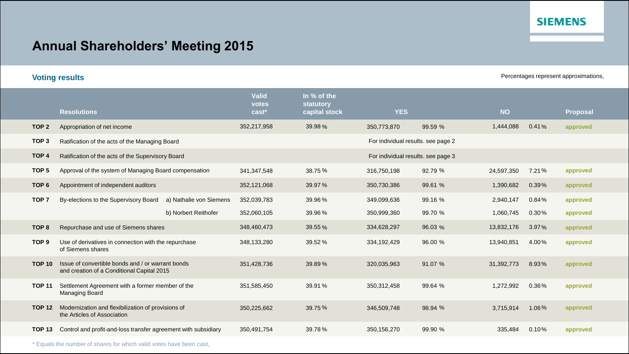### **SIEMENS**

# **Annual Shareholders' Meeting 2015**

**Voting results Percentages represent approximations,** 

|                  | <b>Resolutions</b>                                                                              | <b>Valid</b><br>votes<br>$cast*$ | In % of the<br>statutory<br>capital stock | <b>YES</b>                         |         | <b>NO</b>  |       | <b>Proposal</b> |
|------------------|-------------------------------------------------------------------------------------------------|----------------------------------|-------------------------------------------|------------------------------------|---------|------------|-------|-----------------|
| TOP <sub>2</sub> | Appropriation of net income                                                                     | 352,217,958                      | 39.98%                                    | 350,773,870                        | 99.59 % | 1,444,088  | 0.41% | approved        |
| TOP <sub>3</sub> | Ratification of the acts of the Managing Board                                                  |                                  |                                           | For individual results. see page 2 |         |            |       |                 |
| TOP <sub>4</sub> | Ratification of the acts of the Supervisory Board                                               |                                  |                                           | For individual results, see page 3 |         |            |       |                 |
| TOP <sub>5</sub> | Approval of the system of Managing Board compensation                                           | 341,347,548                      | 38.75 %                                   | 316,750,198                        | 92.79 % | 24,597,350 | 7.21% | approved        |
| TOP <sub>6</sub> | Appointment of independent auditors                                                             | 352,121,068                      | 39.97 %                                   | 350,730,386                        | 99.61 % | 1,390,682  | 0.39% | approved        |
| TOP <sub>7</sub> | a) Nathalie von Siemens<br>By-elections to the Supervisory Board                                | 352,039,783                      | 39.96%                                    | 349,099,636                        | 99.16 % | 2,940,147  | 0.84% | approved        |
|                  | b) Norbert Reithofer                                                                            | 352,060,105                      | 39.96%                                    | 350,999,360                        | 99.70 % | 1,060,745  | 0.30% | approved        |
| TOP <sub>8</sub> | Repurchase and use of Siemens shares                                                            | 348,460,473                      | 39.55 %                                   | 334,628,297                        | 96.03 % | 13,832,176 | 3.97% | approved        |
| TOP <sub>9</sub> | Use of derivatives in connection with the repurchase<br>of Siemens shares                       | 348,133,280                      | 39.52%                                    | 334,192,429                        | 96.00 % | 13,940,851 | 4.00% | approved        |
| <b>TOP 10</b>    | Issue of convertible bonds and / or warrant bonds<br>and creation of a Conditional Capital 2015 | 351,428,736                      | 39.89%                                    | 320,035,963                        | 91.07 % | 31,392,773 | 8.93% | approved        |
| <b>TOP 11</b>    | Settlement Agreement with a former member of the<br>Managing Board                              | 351,585,450                      | 39.91 %                                   | 350, 312, 458                      | 99.64 % | 1,272,992  | 0.36% | approved        |
| <b>TOP 12</b>    | Modernization and flexibilization of provisions of<br>the Articles of Association               | 350,225,662                      | 39.75 %                                   | 346,509,748                        | 98.94 % | 3,715,914  | 1.06% | approved        |
| <b>TOP 13</b>    | Control and profit-and-loss transfer agreement with subsidiary                                  | 350,491,754                      | 39.78%                                    | 350,156,270                        | 99.90 % | 335,484    | 0.10% | approved        |

\* Equals the number of shares for which valid votes have been cast,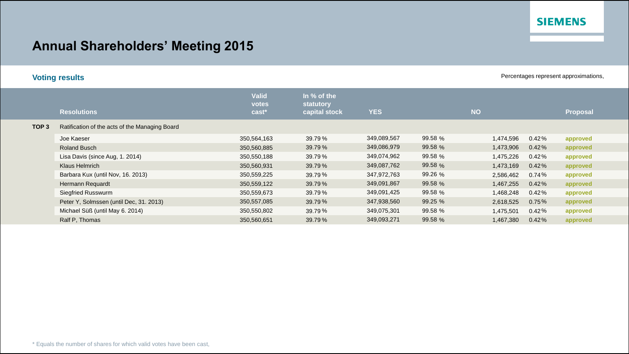### **SIEMENS**

# **Annual Shareholders' Meeting 2015**

|  | <b>Voting results</b> |  |
|--|-----------------------|--|
|  |                       |  |

Percentages represent approximations,

|                  | <b>Resolutions</b>                             | <b>Valid</b><br>votes<br>$\text{cast}^*$ | In % of the<br>statutory<br>capital stock | <b>YES</b>  |         | <b>NO</b> |          | Proposal |  |
|------------------|------------------------------------------------|------------------------------------------|-------------------------------------------|-------------|---------|-----------|----------|----------|--|
| TOP <sub>3</sub> | Ratification of the acts of the Managing Board |                                          |                                           |             |         |           |          |          |  |
|                  | Joe Kaeser                                     | 350,564,163                              | 39.79%                                    | 349,089,567 | 99.58 % | 1,474,596 | 0.42%    | approved |  |
|                  | <b>Roland Busch</b>                            | 350,560,885                              | 39.79%                                    | 349,086,979 | 99.58 % | 1,473,906 | 0.42%    | approved |  |
|                  | Lisa Davis (since Aug, 1. 2014)                | 350,550,188                              | 39.79%                                    | 349,074,962 | 99.58 % | 1,475,226 | 0.42%    | approved |  |
|                  | Klaus Helmrich                                 | 350,560,931                              | 39.79%                                    | 349,087,762 | 99.58 % | 1,473,169 | 0.42%    | approved |  |
|                  | Barbara Kux (until Nov, 16. 2013)              | 350,559,225                              | 39.79%                                    | 347,972,763 | 99.26 % | 2,586,462 | $0.74\%$ | approved |  |
|                  | Hermann Requardt                               | 350,559,122                              | 39.79%                                    | 349,091,867 | 99.58 % | 1,467,255 | $0.42\%$ | approved |  |
|                  | Siegfried Russwurm                             | 350,559,673                              | 39.79%                                    | 349,091,425 | 99.58 % | 1,468,248 | $0.42\%$ | approved |  |
|                  | Peter Y, Solmssen (until Dec, 31. 2013)        | 350,557,085                              | 39.79%                                    | 347,938,560 | 99.25 % | 2,618,525 | 0.75%    | approved |  |
|                  | Michael Süß (until May 6. 2014)                | 350,550,802                              | 39.79%                                    | 349,075,301 | 99.58 % | 1,475,501 | $0.42\%$ | approved |  |
|                  | Ralf P, Thomas                                 | 350,560,651                              | 39.79%                                    | 349,093,271 | 99.58 % | 1,467,380 | 0.42%    | approved |  |